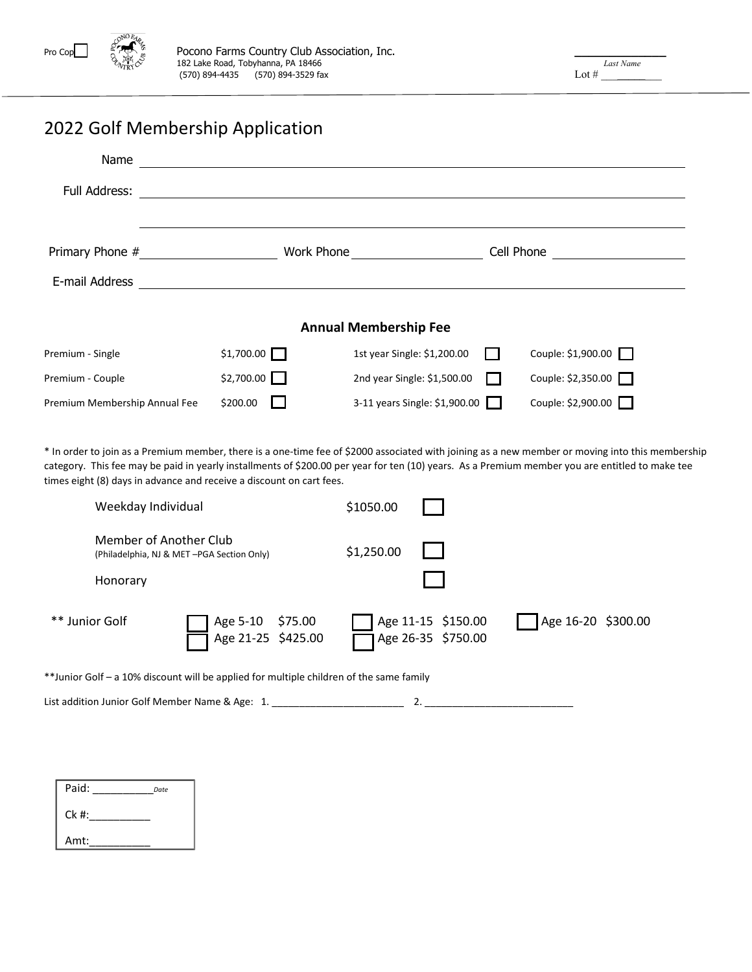

# 2022 Golf Membership Application

| Name                          |                        |                               |            |                     |  |  |  |  |
|-------------------------------|------------------------|-------------------------------|------------|---------------------|--|--|--|--|
| Full Address:                 |                        |                               |            |                     |  |  |  |  |
|                               |                        |                               |            |                     |  |  |  |  |
| Primary Phone #               | Work Phone <b>Work</b> |                               | Cell Phone |                     |  |  |  |  |
| E-mail Address                |                        |                               |            |                     |  |  |  |  |
|                               |                        |                               |            |                     |  |  |  |  |
| <b>Annual Membership Fee</b>  |                        |                               |            |                     |  |  |  |  |
| Premium - Single              | \$1,700.00             | 1st year Single: \$1,200.00   | . .        | Couple: $$1,900.00$ |  |  |  |  |
| Premium - Couple              | $$2,700.00$ $\Box$     | 2nd year Single: \$1,500.00   |            | Couple: \$2,350.00  |  |  |  |  |
| Premium Membership Annual Fee | \$200.00               | 3-11 years Single: \$1,900.00 |            | Couple: \$2,900.00  |  |  |  |  |

\* In order to join as a Premium member, there is a one-time fee of \$2000 associated with joining as a new member or moving into this membership category. This fee may be paid in yearly installments of \$200.00 per year for ten (10) years. As a Premium member you are entitled to make tee times eight (8) days in advance and receive a discount on cart fees.

|                                                                     | Weekday Individual                                                                      | \$1050.00  |                                          |                    |
|---------------------------------------------------------------------|-----------------------------------------------------------------------------------------|------------|------------------------------------------|--------------------|
| Member of Another Club<br>(Philadelphia, NJ & MET-PGA Section Only) |                                                                                         | \$1,250.00 |                                          |                    |
| Honorary                                                            |                                                                                         |            |                                          |                    |
| ** Junior Golf                                                      | Age 5-10 \$75.00<br>Age 21-25 \$425.00                                                  |            | Age 11-15 \$150.00<br>Age 26-35 \$750.00 | Age 16-20 \$300.00 |
|                                                                     | **Junior Golf – a 10% discount will be applied for multiple children of the same family |            |                                          |                    |

List addition Junior Golf Member Name & Age: 1. \_\_\_\_\_\_\_\_\_\_\_\_\_\_\_\_\_\_\_\_\_\_\_\_\_\_\_\_\_\_\_\_ 2.

| Paid:   | Date |
|---------|------|
| $Ck$ #: |      |
| Amt:    |      |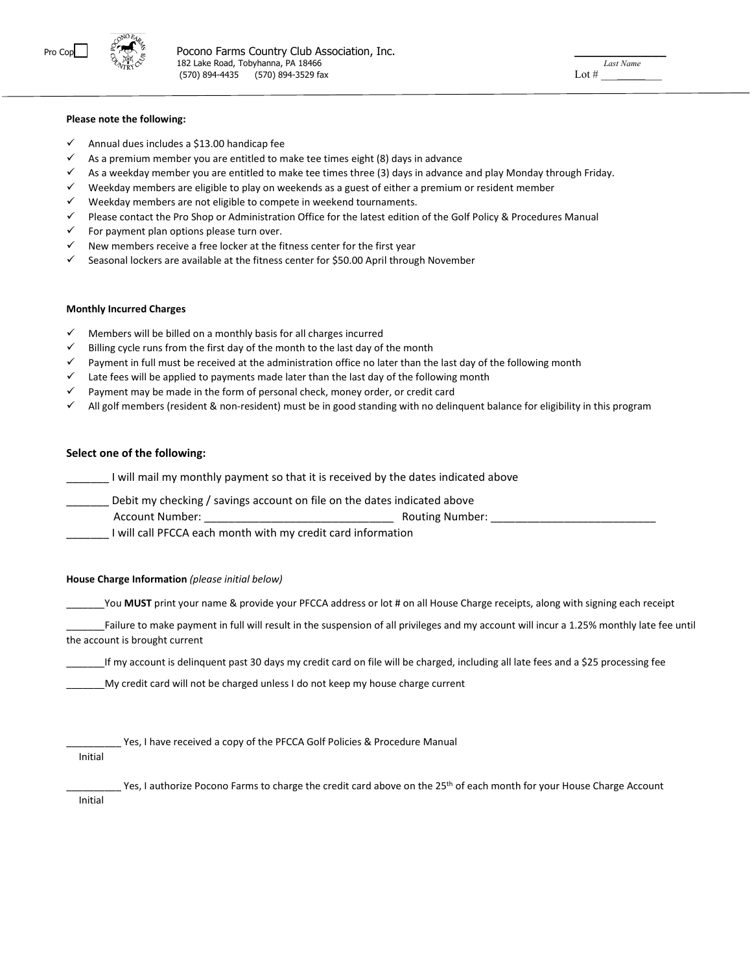

#### **Please note the following:**

- Annual dues includes a \$13.00 handicap fee
- $\checkmark$  As a premium member you are entitled to make tee times eight (8) days in advance
- $\checkmark$  As a weekday member you are entitled to make tee times three (3) days in advance and play Monday through Friday.
- Weekday members are eligible to play on weekends as a guest of either a premium or resident member
- $\checkmark$  Weekday members are not eligible to compete in weekend tournaments.
- $\checkmark$  Please contact the Pro Shop or Administration Office for the latest edition of the Golf Policy & Procedures Manual
- For payment plan options please turn over.
- New members receive a free locker at the fitness center for the first year
- $\checkmark$  Seasonal lockers are available at the fitness center for \$50.00 April through November

#### **Monthly Incurred Charges**

- $\checkmark$  Members will be billed on a monthly basis for all charges incurred
- $\checkmark$  Billing cycle runs from the first day of the month to the last day of the month
- $\checkmark$  Payment in full must be received at the administration office no later than the last day of the following month
- $\checkmark$  Late fees will be applied to payments made later than the last day of the following month
- Payment may be made in the form of personal check, money order, or credit card
- All golf members (resident & non-resident) must be in good standing with no delinquent balance for eligibility in this program

#### **Select one of the following:**

\_\_\_\_\_\_\_ I will mail my monthly payment so that it is received by the dates indicated above

Debit my checking / savings account on file on the dates indicated above

Account Number: \_\_\_\_\_\_\_\_\_\_\_\_\_\_\_\_\_\_\_\_\_\_\_\_\_\_\_\_\_\_\_ Routing Number: \_\_\_\_\_\_\_\_\_\_\_\_\_\_\_\_\_\_\_\_\_\_\_\_\_\_\_

\_\_\_\_\_\_\_ I will call PFCCA each month with my credit card information

#### **House Charge Information** *(please initial below)*

\_\_\_\_\_\_\_You **MUST** print your name & provide your PFCCA address or lot # on all House Charge receipts, along with signing each receipt

Failure to make payment in full will result in the suspension of all privileges and my account will incur a 1.25% monthly late fee until the account is brought current

\_\_\_\_\_\_\_If my account is delinquent past 30 days my credit card on file will be charged, including all late fees and a \$25 processing fee

My credit card will not be charged unless I do not keep my house charge current

Yes, I have received a copy of the PFCCA Golf Policies & Procedure Manual

Initial

Yes, I authorize Pocono Farms to charge the credit card above on the 25<sup>th</sup> of each month for your House Charge Account

Initial